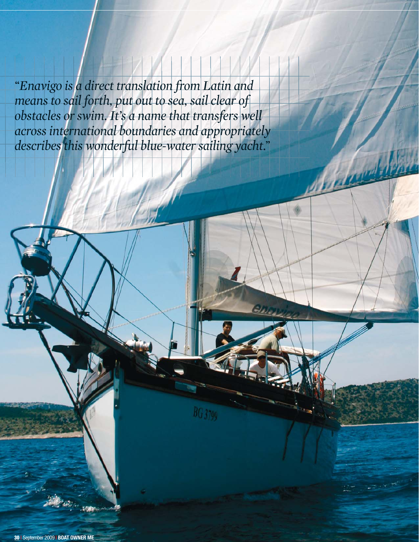*"Enavigo is a direct translation from Latin and means to sail forth, put out to sea, sail clear of obstacles or swim. It's a name that transfers well across international boundaries and appropriately describes this wonderful blue-water sailing yacht."*

**BG** 3799

**QAYSTER** 

**30 |** September 2009 **| BOAT OWNER ME**

**Fisher**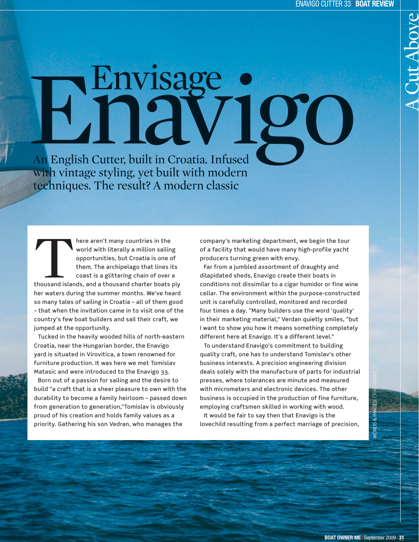## An English Cutter, built in Croatia. Infused with vintage styling, yet built with modern Envisage ·<br>Enlayder igo

techniques. The result? A modern classic

There aren't many countries in the<br>
world with literally a million sailing<br>
opportunities, but Croatia is one of<br>
them. The archipelago that lines its<br>
coast is a glittering chain of over a<br>
thousand islands, and a thousan world with literally a million sailing opportunities, but Croatia is one of them. The archipelago that lines its coast is a glittering chain of over a her waters during the summer months. We've heard so many tales of sailing in Croatia – all of them good – that when the invitation came in to visit one of the country's few boat builders and sail their craft, we jumped at the opportunity.

Tucked in the heavily wooded hills of north-eastern Croatia, near the Hungarian border, the Enavigo yard is situated in Virovitica, a town renowned for furniture production. It was here we met Tomislav Matasic and were introduced to the Enavigo 33.

Born out of a passion for sailing and the desire to build "a craft that is a sheer pleasure to own with the durability to become a family heirloom – passed down from generation to generation,"Tomislav is obviously proud of his creation and holds family values as a priority. Gathering his son Vedran, who manages the

company's marketing department, we begin the tour of a facility that would have many high-profile yacht producers turning green with envy.

Far from a jumbled assortment of draughty and dilapidated sheds, Enavigo create their boats in conditions not dissimilar to a cigar humidor or fine wine cellar. The environment within the purpose-constructed unit is carefully controlled, monitored and recorded four times a day. "Many builders use the word 'quality' in their marketing material," Verdan quietly smiles, "but I want to show you how it means something completely different here at Enavigo. It's a different level."

To understand Enavigo's commitment to building quality craft, one has to understand Tomislav's other business interests. A precision engineering division deals solely with the manufacture of parts for industrial presses, where tolerances are minute and measured with micrometers and electronic devices. The other business is occupied in the production of fine furniture, employing craftsmen skilled in working with wood. It would be fair to say then that Enavigo is the

lovechild resulting from a perfect marriage of precision,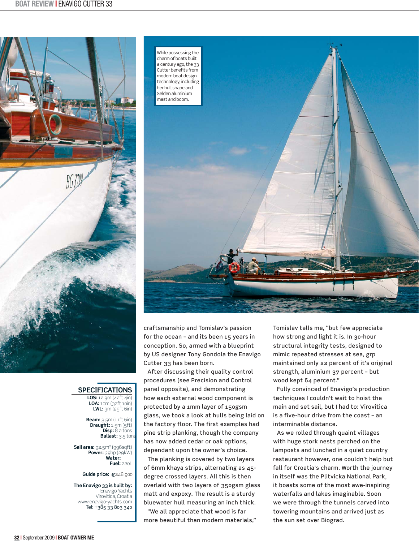

## **SPECIFICATIONS**

**LOS:** 12.9m (42ft 4in) **LOA:** 10m (32ft 10in) **LWL:** 9m (29ft 6in)

**Beam:** 3.5m (11ft 6in) **Draught:** 1.5m (5ft) **Disp:** 8.2 tons **Ballast:**  3,5 tons

**Fuel:** 220L **Sail area:** 92.5m² (996sqft) **Power:** 39hp (29kW) **Water:** 

**Guide price:**  €248.900

**The Enavigo 33 is built by:**<br>Enavigo Yachts Virovitica, Croatia www.enavigo-yachts.com Tel: +385 33 803 340



craftsmanship and Tomislav's passion for the ocean – and its been 15 years in conception. So, armed with a blueprint by US designer Tony Gondola the Enavigo Cutter 33 has been born.

After discussing their quality control procedures (see Precision and Control panel opposite), and demonstrating how each external wood component is protected by a 1mm layer of 150gsm glass, we took a look at hulls being laid on the factory floor. The first examples had pine strip planking, though the company has now added cedar or oak options, dependant upon the owner's choice.

The planking is covered by two layers of 6mm khaya strips, alternating as 45 degree crossed layers. All this is then overlaid with two layers of 350gsm glass matt and expoxy. The result is a sturdy bluewater hull measuring an inch thick.

"We all appreciate that wood is far more beautiful than modern materials," Tomislav tells me, "but few appreciate how strong and light it is. In 30-hour structural integrity tests, designed to mimic repeated stresses at sea, grp maintained only 22 percent of it's original strength, aluminium 37 percent – but wood kept 64 percent."

Fully convinced of Enavigo's production techniques I couldn't wait to hoist the main and set sail, but I had to: Virovitica is a five-hour drive from the coast – an interminable distance.

As we rolled through quaint villages with huge stork nests perched on the lamposts and lunched in a quiet country restaurant however, one couldn't help but fall for Croatia's charm. Worth the journey in itself was the Plitvicka National Park, it boasts some of the most awe-inspiring waterfalls and lakes imaginable. Soon we were through the tunnels carved into towering mountains and arrived just as the sun set over Biograd.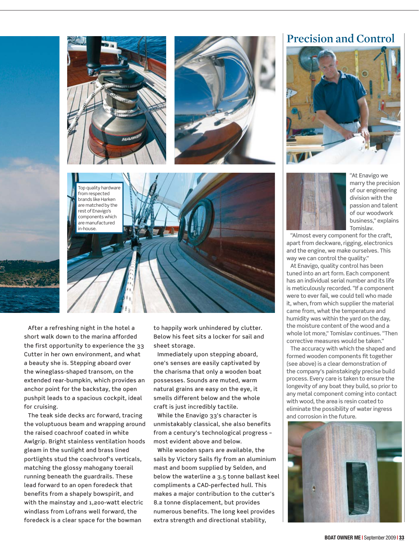

After a refreshing night in the hotel a short walk down to the marina afforded the first opportunity to experience the 33 Cutter in her own environment, and what a beauty she is. Stepping aboard over the wineglass-shaped transom, on the extended rear-bumpkin, which provides an anchor point for the backstay, the open pushpit leads to a spacious cockpit, ideal for cruising.

The teak side decks arc forward, tracing the voluptuous beam and wrapping around the raised coachroof coated in white Awlgrip. Bright stainless ventilation hoods gleam in the sunlight and brass lined portlights stud the coachroof's verticals, matching the glossy mahogany toerail running beneath the guardrails. These lead forward to an open foredeck that benefits from a shapely bowspirit, and with the mainstay and 1,200-watt electric windlass from Lofrans well forward, the foredeck is a clear space for the bowman

to happily work unhindered by clutter. Below his feet sits a locker for sail and sheet storage.

Immediately upon stepping aboard, one's senses are easily captivated by the charisma that only a wooden boat possesses. Sounds are muted, warm natural grains are easy on the eye, it smells different below and the whole craft is just incredibly tactile.

While the Enavigo 33's character is unmistakably classical, she also benefits from a century's technological progress – most evident above and below.

While wooden spars are available, the mast and boom supplied by Selden, and below the waterline a 3.5 tonne ballast keel compliments a CAD-perfected hull. This makes a major contribution to the cutter's 8.2 tonne displacement, but provides numerous benefits. The long keel provides extra strength and directional stability, sails by Victory Sails fly from an aluminium

## **Precision and Control**



"At Enavigo we marry the precision of our engineering division with the passion and talent of our woodwork business," explains Tomislav.

"Almost every component for the craft, apart from deckware, rigging, electronics and the engine, we make ourselves. This way we can control the quality."

At Enavigo, quality control has been tuned into an art form. Each component has an individual serial number and its life is meticulously recorded. "If a component were to ever fail, we could tell who made it, when, from which supplier the material came from, what the temperature and humidity was within the yard on the day, the moisture content of the wood and a whole lot more," Tomislav continues. "Then corrective measures would be taken."

The accuracy with which the shaped and formed wooden components fit together (see above) is a clear demonstration of the company's painstakingly precise build process. Every care is taken to ensure the longevity of any boat they build, so prior to any metal component coming into contact with wood, the area is resin coated to eliminate the possibility of water ingress and corrosion in the future.

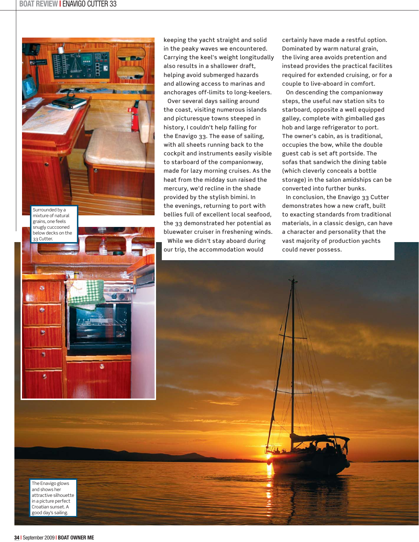

keeping the yacht straight and solid in the peaky waves we encountered. Carrying the keel's weight longitudally also results in a shallower draft, helping avoid submerged hazards and allowing access to marinas and anchorages off-limits to long-keelers.

Over several days sailing around the coast, visiting numerous islands and picturesque towns steeped in history, I couldn't help falling for the Enavigo 33. The ease of sailing, with all sheets running back to the cockpit and instruments easily visible to starboard of the companionway, made for lazy morning cruises. As the heat from the midday sun raised the mercury, we'd recline in the shade provided by the stylish bimini. In the evenings, returning to port with bellies full of excellent local seafood, the 33 demonstrated her potential as bluewater cruiser in freshening winds. While we didn't stay aboard during our trip, the accommodation would

certainly have made a restful option. Dominated by warm natural grain, the living area avoids pretention and instead provides the practical facilites required for extended cruising, or for a couple to live-aboard in comfort.

On descending the companionway steps, the useful nav station sits to starboard, opposite a well equipped galley, complete with gimballed gas hob and large refrigerator to port. The owner's cabin, as is traditional, occupies the bow, while the double guest cab is set aft portside. The sofas that sandwich the dining table (which cleverly conceals a bottle storage) in the salon amidships can be converted into further bunks.

In conclusion, the Enavigo 33 Cutter demonstrates how a new craft, built to exacting standards from traditional materials, in a classic design, can have a character and personality that the vast majority of production yachts could never possess.



The Enavigo glows and shows her attractive silhouette in a picture perfect Croatian sunset. A good day's sailing.